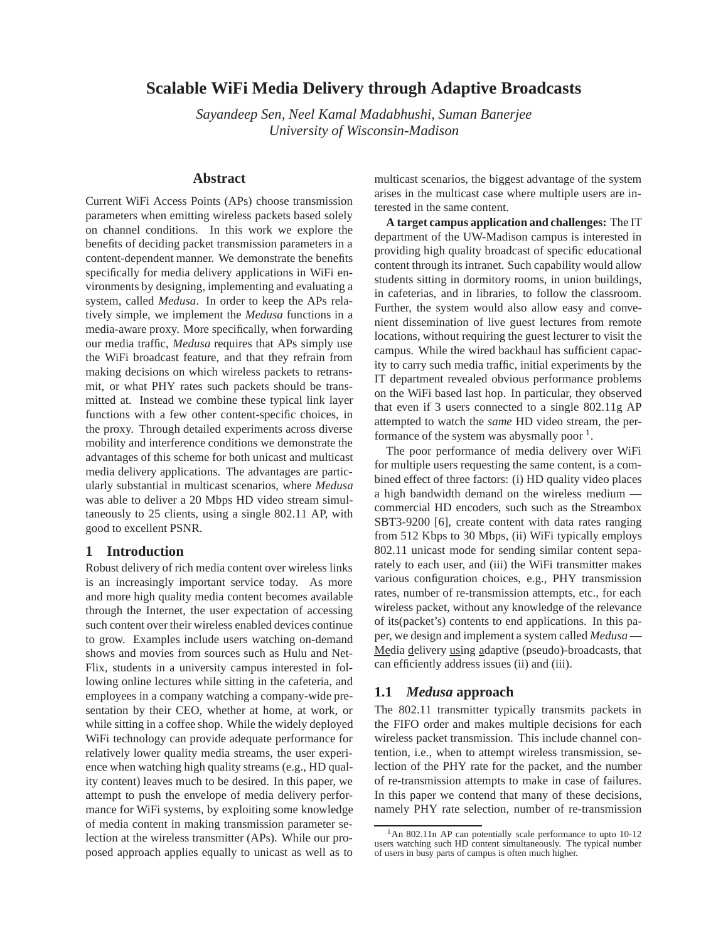# **Scalable WiFi Media Delivery through Adaptive Broadcasts**

*Sayandeep Sen, Neel Kamal Madabhushi, Suman Banerjee University of Wisconsin-Madison*

# **Abstract**

Current WiFi Access Points (APs) choose transmission parameters when emitting wireless packets based solely on channel conditions. In this work we explore the benefits of deciding packet transmission parameters in a content-dependent manner. We demonstrate the benefits specifically for media delivery applications in WiFi environments by designing, implementing and evaluating a system, called *Medusa*. In order to keep the APs relatively simple, we implement the *Medusa* functions in a media-aware proxy. More specifically, when forwarding our media traffic, *Medusa* requires that APs simply use the WiFi broadcast feature, and that they refrain from making decisions on which wireless packets to retransmit, or what PHY rates such packets should be transmitted at. Instead we combine these typical link layer functions with a few other content-specific choices, in the proxy. Through detailed experiments across diverse mobility and interference conditions we demonstrate the advantages of this scheme for both unicast and multicast media delivery applications. The advantages are particularly substantial in multicast scenarios, where *Medusa* was able to deliver a 20 Mbps HD video stream simultaneously to 25 clients, using a single 802.11 AP, with good to excellent PSNR.

## **1 Introduction**

Robust delivery of rich media content over wireless links is an increasingly important service today. As more and more high quality media content becomes available through the Internet, the user expectation of accessing such content over their wireless enabled devices continue to grow. Examples include users watching on-demand shows and movies from sources such as Hulu and Net-Flix, students in a university campus interested in following online lectures while sitting in the cafeteria, and employees in a company watching a company-wide presentation by their CEO, whether at home, at work, or while sitting in a coffee shop. While the widely deployed WiFi technology can provide adequate performance for relatively lower quality media streams, the user experience when watching high quality streams (e.g., HD quality content) leaves much to be desired. In this paper, we attempt to push the envelope of media delivery performance for WiFi systems, by exploiting some knowledge of media content in making transmission parameter selection at the wireless transmitter (APs). While our proposed approach applies equally to unicast as well as to multicast scenarios, the biggest advantage of the system arises in the multicast case where multiple users are interested in the same content.

**A target campus application and challenges:** The IT department of the UW-Madison campus is interested in providing high quality broadcast of specific educational content through its intranet. Such capability would allow students sitting in dormitory rooms, in union buildings, in cafeterias, and in libraries, to follow the classroom. Further, the system would also allow easy and convenient dissemination of live guest lectures from remote locations, without requiring the guest lecturer to visit the campus. While the wired backhaul has sufficient capacity to carry such media traffic, initial experiments by the IT department revealed obvious performance problems on the WiFi based last hop. In particular, they observed that even if 3 users connected to a single 802.11g AP attempted to watch the *same* HD video stream, the performance of the system was aby smally poor  $<sup>1</sup>$ .</sup>

The poor performance of media delivery over WiFi for multiple users requesting the same content, is a combined effect of three factors: (i) HD quality video places a high bandwidth demand on the wireless medium commercial HD encoders, such such as the Streambox SBT3-9200 [6], create content with data rates ranging from 512 Kbps to 30 Mbps, (ii) WiFi typically employs 802.11 unicast mode for sending similar content separately to each user, and (iii) the WiFi transmitter makes various configuration choices, e.g., PHY transmission rates, number of re-transmission attempts, etc., for each wireless packet, without any knowledge of the relevance of its(packet's) contents to end applications. In this paper, we design and implement a system called *Medusa* — Media delivery using adaptive (pseudo)-broadcasts, that can efficiently address issues (ii) and (iii).

# **1.1** *Medusa* **approach**

The 802.11 transmitter typically transmits packets in the FIFO order and makes multiple decisions for each wireless packet transmission. This include channel contention, i.e., when to attempt wireless transmission, selection of the PHY rate for the packet, and the number of re-transmission attempts to make in case of failures. In this paper we contend that many of these decisions, namely PHY rate selection, number of re-transmission

<sup>&</sup>lt;sup>1</sup>An 802.11n AP can potentially scale performance to upto 10-12 users watching such HD content simultaneously. The typical number of users in busy parts of campus is often much higher.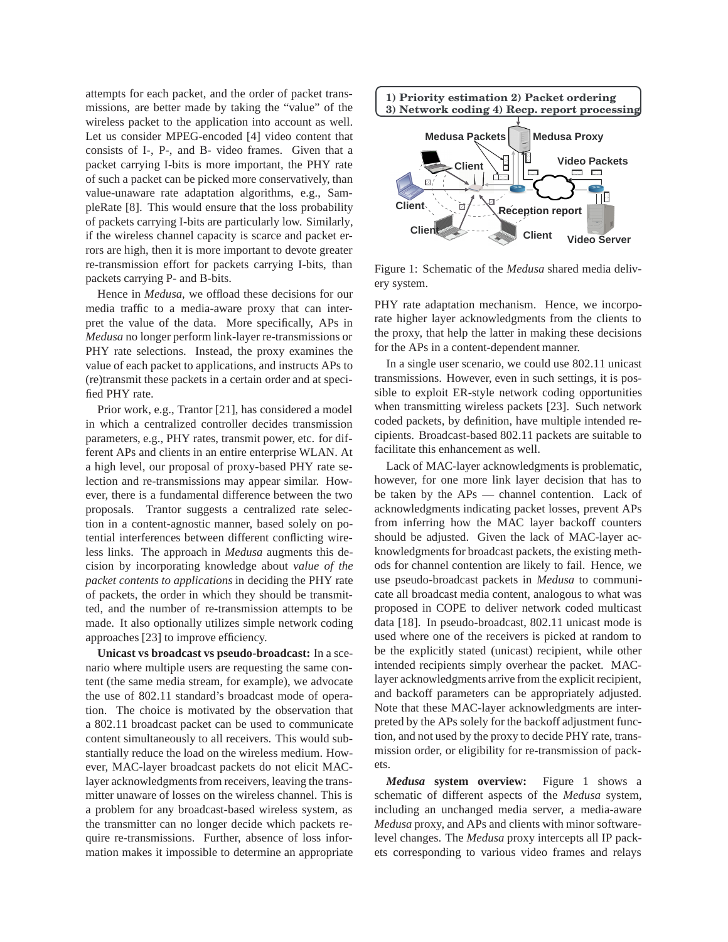attempts for each packet, and the order of packet transmissions, are better made by taking the "value" of the wireless packet to the application into account as well. Let us consider MPEG-encoded [4] video content that consists of I-, P-, and B- video frames. Given that a packet carrying I-bits is more important, the PHY rate of such a packet can be picked more conservatively, than value-unaware rate adaptation algorithms, e.g., SampleRate [8]. This would ensure that the loss probability of packets carrying I-bits are particularly low. Similarly, if the wireless channel capacity is scarce and packet errors are high, then it is more important to devote greater re-transmission effort for packets carrying I-bits, than packets carrying P- and B-bits.

Hence in *Medusa*, we offload these decisions for our media traffic to a media-aware proxy that can interpret the value of the data. More specifically, APs in *Medusa* no longer perform link-layer re-transmissions or PHY rate selections. Instead, the proxy examines the value of each packet to applications, and instructs APs to (re)transmit these packets in a certain order and at specified PHY rate.

Prior work, e.g., Trantor [21], has considered a model in which a centralized controller decides transmission parameters, e.g., PHY rates, transmit power, etc. for different APs and clients in an entire enterprise WLAN. At a high level, our proposal of proxy-based PHY rate selection and re-transmissions may appear similar. However, there is a fundamental difference between the two proposals. Trantor suggests a centralized rate selection in a content-agnostic manner, based solely on potential interferences between different conflicting wireless links. The approach in *Medusa* augments this decision by incorporating knowledge about *value of the packet contents to applications* in deciding the PHY rate of packets, the order in which they should be transmitted, and the number of re-transmission attempts to be made. It also optionally utilizes simple network coding approaches [23] to improve efficiency.

**Unicast vs broadcast vs pseudo-broadcast:** In a scenario where multiple users are requesting the same content (the same media stream, for example), we advocate the use of 802.11 standard's broadcast mode of operation. The choice is motivated by the observation that a 802.11 broadcast packet can be used to communicate content simultaneously to all receivers. This would substantially reduce the load on the wireless medium. However, MAC-layer broadcast packets do not elicit MAClayer acknowledgments from receivers, leaving the transmitter unaware of losses on the wireless channel. This is a problem for any broadcast-based wireless system, as the transmitter can no longer decide which packets require re-transmissions. Further, absence of loss information makes it impossible to determine an appropriate



Figure 1: Schematic of the *Medusa* shared media delivery system.

PHY rate adaptation mechanism. Hence, we incorporate higher layer acknowledgments from the clients to the proxy, that help the latter in making these decisions for the APs in a content-dependent manner.

In a single user scenario, we could use 802.11 unicast transmissions. However, even in such settings, it is possible to exploit ER-style network coding opportunities when transmitting wireless packets [23]. Such network coded packets, by definition, have multiple intended recipients. Broadcast-based 802.11 packets are suitable to facilitate this enhancement as well.

Lack of MAC-layer acknowledgments is problematic, however, for one more link layer decision that has to be taken by the APs — channel contention. Lack of acknowledgments indicating packet losses, prevent APs from inferring how the MAC layer backoff counters should be adjusted. Given the lack of MAC-layer acknowledgments for broadcast packets, the existing methods for channel contention are likely to fail. Hence, we use pseudo-broadcast packets in *Medusa* to communicate all broadcast media content, analogous to what was proposed in COPE to deliver network coded multicast data [18]. In pseudo-broadcast, 802.11 unicast mode is used where one of the receivers is picked at random to be the explicitly stated (unicast) recipient, while other intended recipients simply overhear the packet. MAClayer acknowledgments arrive from the explicit recipient, and backoff parameters can be appropriately adjusted. Note that these MAC-layer acknowledgments are interpreted by the APs solely for the backoff adjustment function, and not used by the proxy to decide PHY rate, transmission order, or eligibility for re-transmission of packets.

*Medusa* **system overview:** Figure 1 shows a schematic of different aspects of the *Medusa* system, including an unchanged media server, a media-aware *Medusa* proxy, and APs and clients with minor softwarelevel changes. The *Medusa* proxy intercepts all IP packets corresponding to various video frames and relays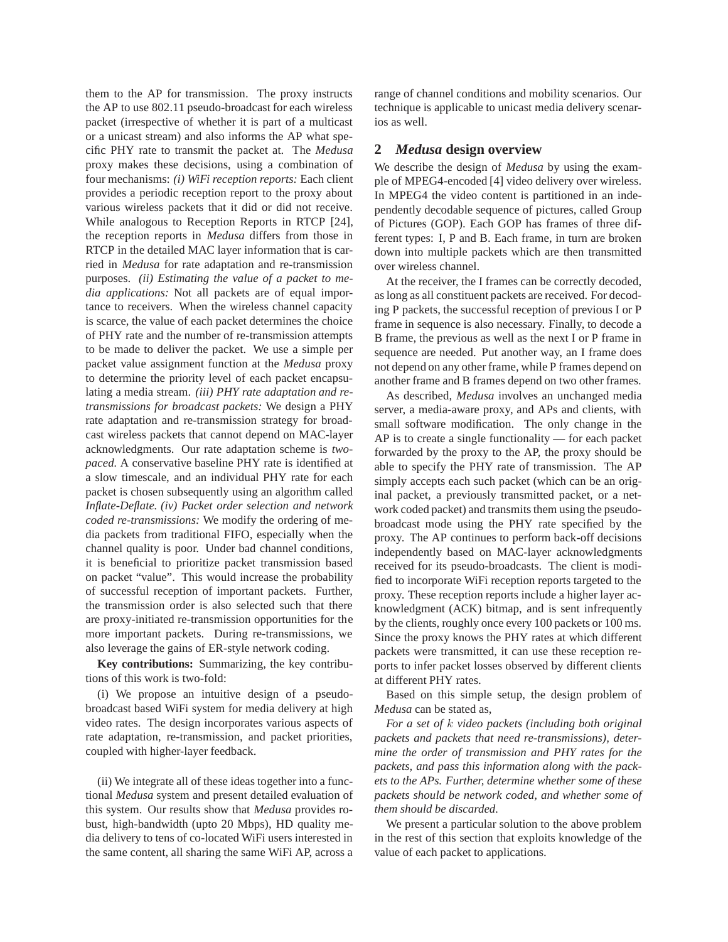them to the AP for transmission. The proxy instructs the AP to use 802.11 pseudo-broadcast for each wireless packet (irrespective of whether it is part of a multicast or a unicast stream) and also informs the AP what specific PHY rate to transmit the packet at. The *Medusa* proxy makes these decisions, using a combination of four mechanisms: *(i) WiFi reception reports:* Each client provides a periodic reception report to the proxy about various wireless packets that it did or did not receive. While analogous to Reception Reports in RTCP [24], the reception reports in *Medusa* differs from those in RTCP in the detailed MAC layer information that is carried in *Medusa* for rate adaptation and re-transmission purposes. *(ii) Estimating the value of a packet to media applications:* Not all packets are of equal importance to receivers. When the wireless channel capacity is scarce, the value of each packet determines the choice of PHY rate and the number of re-transmission attempts to be made to deliver the packet. We use a simple per packet value assignment function at the *Medusa* proxy to determine the priority level of each packet encapsulating a media stream. *(iii) PHY rate adaptation and retransmissions for broadcast packets:* We design a PHY rate adaptation and re-transmission strategy for broadcast wireless packets that cannot depend on MAC-layer acknowledgments. Our rate adaptation scheme is *twopaced.* A conservative baseline PHY rate is identified at a slow timescale, and an individual PHY rate for each packet is chosen subsequently using an algorithm called *Inflate-Deflate. (iv) Packet order selection and network coded re-transmissions:* We modify the ordering of media packets from traditional FIFO, especially when the channel quality is poor. Under bad channel conditions, it is beneficial to prioritize packet transmission based on packet "value". This would increase the probability of successful reception of important packets. Further, the transmission order is also selected such that there are proxy-initiated re-transmission opportunities for the more important packets. During re-transmissions, we also leverage the gains of ER-style network coding.

**Key contributions:** Summarizing, the key contributions of this work is two-fold:

(i) We propose an intuitive design of a pseudobroadcast based WiFi system for media delivery at high video rates. The design incorporates various aspects of rate adaptation, re-transmission, and packet priorities, coupled with higher-layer feedback.

(ii) We integrate all of these ideas together into a functional *Medusa* system and present detailed evaluation of this system. Our results show that *Medusa* provides robust, high-bandwidth (upto 20 Mbps), HD quality media delivery to tens of co-located WiFi users interested in the same content, all sharing the same WiFi AP, across a range of channel conditions and mobility scenarios. Our technique is applicable to unicast media delivery scenarios as well.

# **2** *Medusa* **design overview**

We describe the design of *Medusa* by using the example of MPEG4-encoded [4] video delivery over wireless. In MPEG4 the video content is partitioned in an independently decodable sequence of pictures, called Group of Pictures (GOP). Each GOP has frames of three different types: I, P and B. Each frame, in turn are broken down into multiple packets which are then transmitted over wireless channel.

At the receiver, the I frames can be correctly decoded, as long as all constituent packets are received. For decoding P packets, the successful reception of previous I or P frame in sequence is also necessary. Finally, to decode a B frame, the previous as well as the next I or P frame in sequence are needed. Put another way, an I frame does not depend on any other frame, while P frames depend on another frame and B frames depend on two other frames.

As described, *Medusa* involves an unchanged media server, a media-aware proxy, and APs and clients, with small software modification. The only change in the AP is to create a single functionality — for each packet forwarded by the proxy to the AP, the proxy should be able to specify the PHY rate of transmission. The AP simply accepts each such packet (which can be an original packet, a previously transmitted packet, or a network coded packet) and transmits them using the pseudobroadcast mode using the PHY rate specified by the proxy. The AP continues to perform back-off decisions independently based on MAC-layer acknowledgments received for its pseudo-broadcasts. The client is modified to incorporate WiFi reception reports targeted to the proxy. These reception reports include a higher layer acknowledgment (ACK) bitmap, and is sent infrequently by the clients, roughly once every 100 packets or 100 ms. Since the proxy knows the PHY rates at which different packets were transmitted, it can use these reception reports to infer packet losses observed by different clients at different PHY rates.

Based on this simple setup, the design problem of *Medusa* can be stated as,

*For a set of* k *video packets (including both original packets and packets that need re-transmissions), determine the order of transmission and PHY rates for the packets, and pass this information along with the packets to the APs. Further, determine whether some of these packets should be network coded, and whether some of them should be discarded.*

We present a particular solution to the above problem in the rest of this section that exploits knowledge of the value of each packet to applications.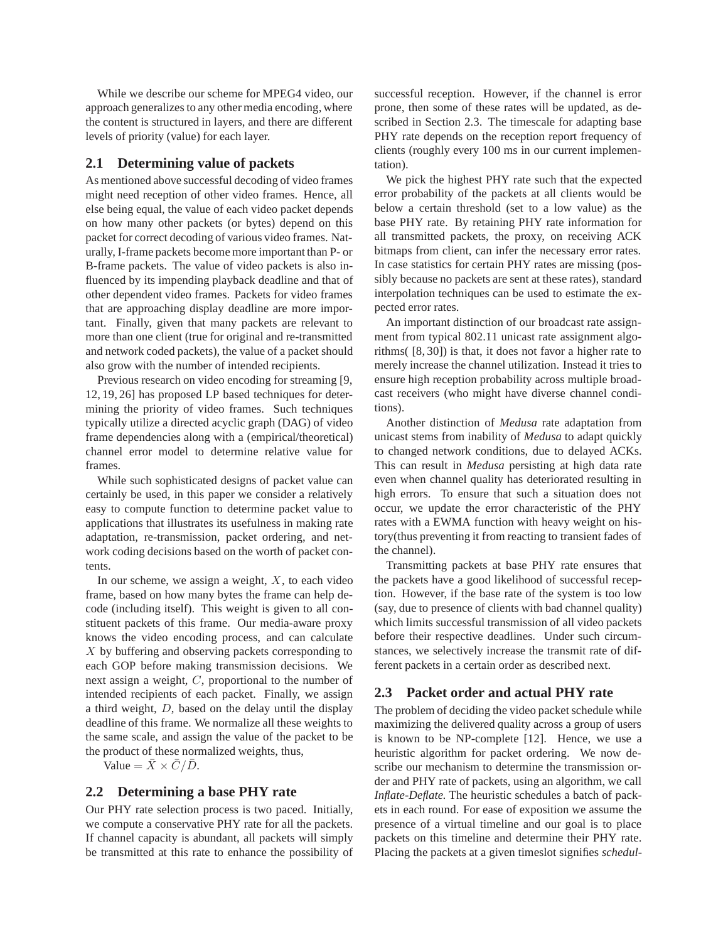While we describe our scheme for MPEG4 video, our approach generalizes to any other media encoding, where the content is structured in layers, and there are different levels of priority (value) for each layer.

# **2.1 Determining value of packets**

As mentioned above successful decoding of video frames might need reception of other video frames. Hence, all else being equal, the value of each video packet depends on how many other packets (or bytes) depend on this packet for correct decoding of various video frames. Naturally, I-frame packets become more important than P- or B-frame packets. The value of video packets is also influenced by its impending playback deadline and that of other dependent video frames. Packets for video frames that are approaching display deadline are more important. Finally, given that many packets are relevant to more than one client (true for original and re-transmitted and network coded packets), the value of a packet should also grow with the number of intended recipients.

Previous research on video encoding for streaming [9, 12, 19, 26] has proposed LP based techniques for determining the priority of video frames. Such techniques typically utilize a directed acyclic graph (DAG) of video frame dependencies along with a (empirical/theoretical) channel error model to determine relative value for frames.

While such sophisticated designs of packet value can certainly be used, in this paper we consider a relatively easy to compute function to determine packet value to applications that illustrates its usefulness in making rate adaptation, re-transmission, packet ordering, and network coding decisions based on the worth of packet contents.

In our scheme, we assign a weight,  $X$ , to each video frame, based on how many bytes the frame can help decode (including itself). This weight is given to all constituent packets of this frame. Our media-aware proxy knows the video encoding process, and can calculate X by buffering and observing packets corresponding to each GOP before making transmission decisions. We next assign a weight, C, proportional to the number of intended recipients of each packet. Finally, we assign a third weight, D, based on the delay until the display deadline of this frame. We normalize all these weights to the same scale, and assign the value of the packet to be the product of these normalized weights, thus,

Value =  $\bar{X} \times \bar{C}/\bar{D}$ .

## **2.2 Determining a base PHY rate**

Our PHY rate selection process is two paced. Initially, we compute a conservative PHY rate for all the packets. If channel capacity is abundant, all packets will simply be transmitted at this rate to enhance the possibility of successful reception. However, if the channel is error prone, then some of these rates will be updated, as described in Section 2.3. The timescale for adapting base PHY rate depends on the reception report frequency of clients (roughly every 100 ms in our current implementation).

We pick the highest PHY rate such that the expected error probability of the packets at all clients would be below a certain threshold (set to a low value) as the base PHY rate. By retaining PHY rate information for all transmitted packets, the proxy, on receiving ACK bitmaps from client, can infer the necessary error rates. In case statistics for certain PHY rates are missing (possibly because no packets are sent at these rates), standard interpolation techniques can be used to estimate the expected error rates.

An important distinction of our broadcast rate assignment from typical 802.11 unicast rate assignment algorithms( [8, 30]) is that, it does not favor a higher rate to merely increase the channel utilization. Instead it tries to ensure high reception probability across multiple broadcast receivers (who might have diverse channel conditions).

Another distinction of *Medusa* rate adaptation from unicast stems from inability of *Medusa* to adapt quickly to changed network conditions, due to delayed ACKs. This can result in *Medusa* persisting at high data rate even when channel quality has deteriorated resulting in high errors. To ensure that such a situation does not occur, we update the error characteristic of the PHY rates with a EWMA function with heavy weight on history(thus preventing it from reacting to transient fades of the channel).

Transmitting packets at base PHY rate ensures that the packets have a good likelihood of successful reception. However, if the base rate of the system is too low (say, due to presence of clients with bad channel quality) which limits successful transmission of all video packets before their respective deadlines. Under such circumstances, we selectively increase the transmit rate of different packets in a certain order as described next.

# **2.3 Packet order and actual PHY rate**

The problem of deciding the video packet schedule while maximizing the delivered quality across a group of users is known to be NP-complete [12]. Hence, we use a heuristic algorithm for packet ordering. We now describe our mechanism to determine the transmission order and PHY rate of packets, using an algorithm, we call *Inflate-Deflate.* The heuristic schedules a batch of packets in each round. For ease of exposition we assume the presence of a virtual timeline and our goal is to place packets on this timeline and determine their PHY rate. Placing the packets at a given timeslot signifies *schedul-*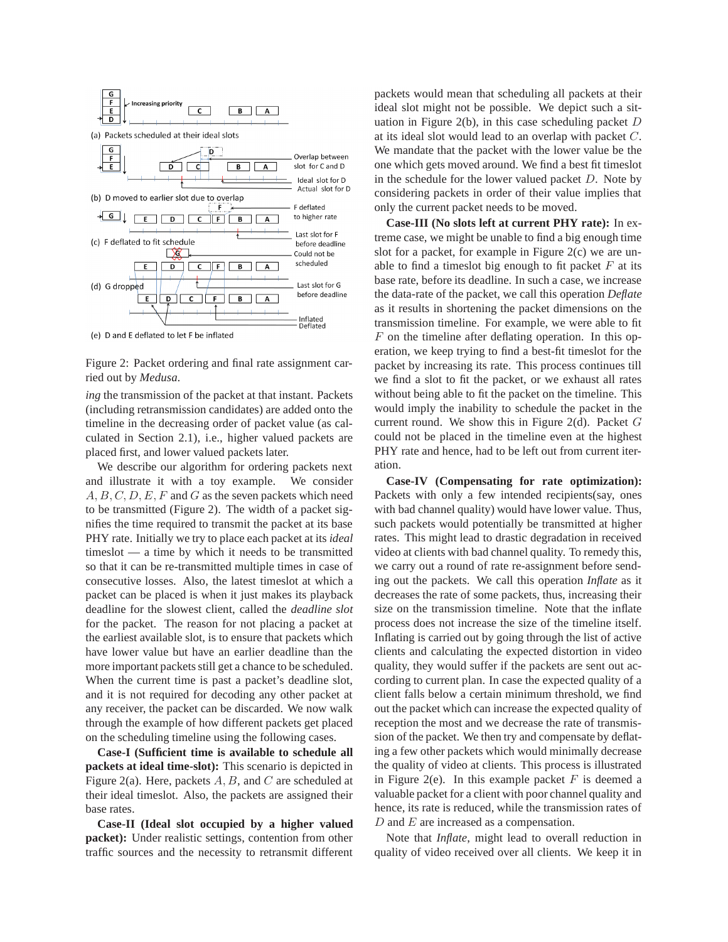

(e) D and E deflated to let F be inflated

Figure 2: Packet ordering and final rate assignment carried out by *Medusa*.

*ing* the transmission of the packet at that instant. Packets (including retransmission candidates) are added onto the timeline in the decreasing order of packet value (as calculated in Section 2.1), i.e., higher valued packets are placed first, and lower valued packets later.

We describe our algorithm for ordering packets next and illustrate it with a toy example. We consider  $A, B, C, D, E, F$  and G as the seven packets which need to be transmitted (Figure 2). The width of a packet signifies the time required to transmit the packet at its base PHY rate. Initially we try to place each packet at its *ideal* timeslot — a time by which it needs to be transmitted so that it can be re-transmitted multiple times in case of consecutive losses. Also, the latest timeslot at which a packet can be placed is when it just makes its playback deadline for the slowest client, called the *deadline slot* for the packet. The reason for not placing a packet at the earliest available slot, is to ensure that packets which have lower value but have an earlier deadline than the more important packets still get a chance to be scheduled. When the current time is past a packet's deadline slot, and it is not required for decoding any other packet at any receiver, the packet can be discarded. We now walk through the example of how different packets get placed on the scheduling timeline using the following cases.

**Case-I (Sufficient time is available to schedule all packets at ideal time-slot):** This scenario is depicted in Figure 2(a). Here, packets  $A, B$ , and C are scheduled at their ideal timeslot. Also, the packets are assigned their base rates.

**Case-II (Ideal slot occupied by a higher valued packet):** Under realistic settings, contention from other traffic sources and the necessity to retransmit different packets would mean that scheduling all packets at their ideal slot might not be possible. We depict such a situation in Figure 2(b), in this case scheduling packet  $D$ at its ideal slot would lead to an overlap with packet C. We mandate that the packet with the lower value be the one which gets moved around. We find a best fit timeslot in the schedule for the lower valued packet  $D$ . Note by considering packets in order of their value implies that only the current packet needs to be moved.

**Case-III (No slots left at current PHY rate):** In extreme case, we might be unable to find a big enough time slot for a packet, for example in Figure 2(c) we are unable to find a timeslot big enough to fit packet  $F$  at its base rate, before its deadline. In such a case, we increase the data-rate of the packet, we call this operation *Deflate* as it results in shortening the packet dimensions on the transmission timeline. For example, we were able to fit F on the timeline after deflating operation. In this operation, we keep trying to find a best-fit timeslot for the packet by increasing its rate. This process continues till we find a slot to fit the packet, or we exhaust all rates without being able to fit the packet on the timeline. This would imply the inability to schedule the packet in the current round. We show this in Figure 2(d). Packet  $G$ could not be placed in the timeline even at the highest PHY rate and hence, had to be left out from current iteration.

**Case-IV (Compensating for rate optimization):** Packets with only a few intended recipients(say, ones with bad channel quality) would have lower value. Thus, such packets would potentially be transmitted at higher rates. This might lead to drastic degradation in received video at clients with bad channel quality. To remedy this, we carry out a round of rate re-assignment before sending out the packets. We call this operation *Inflate* as it decreases the rate of some packets, thus, increasing their size on the transmission timeline. Note that the inflate process does not increase the size of the timeline itself. Inflating is carried out by going through the list of active clients and calculating the expected distortion in video quality, they would suffer if the packets are sent out according to current plan. In case the expected quality of a client falls below a certain minimum threshold, we find out the packet which can increase the expected quality of reception the most and we decrease the rate of transmission of the packet. We then try and compensate by deflating a few other packets which would minimally decrease the quality of video at clients. This process is illustrated in Figure 2(e). In this example packet  $F$  is deemed a valuable packet for a client with poor channel quality and hence, its rate is reduced, while the transmission rates of D and E are increased as a compensation.

Note that *Inflate*, might lead to overall reduction in quality of video received over all clients. We keep it in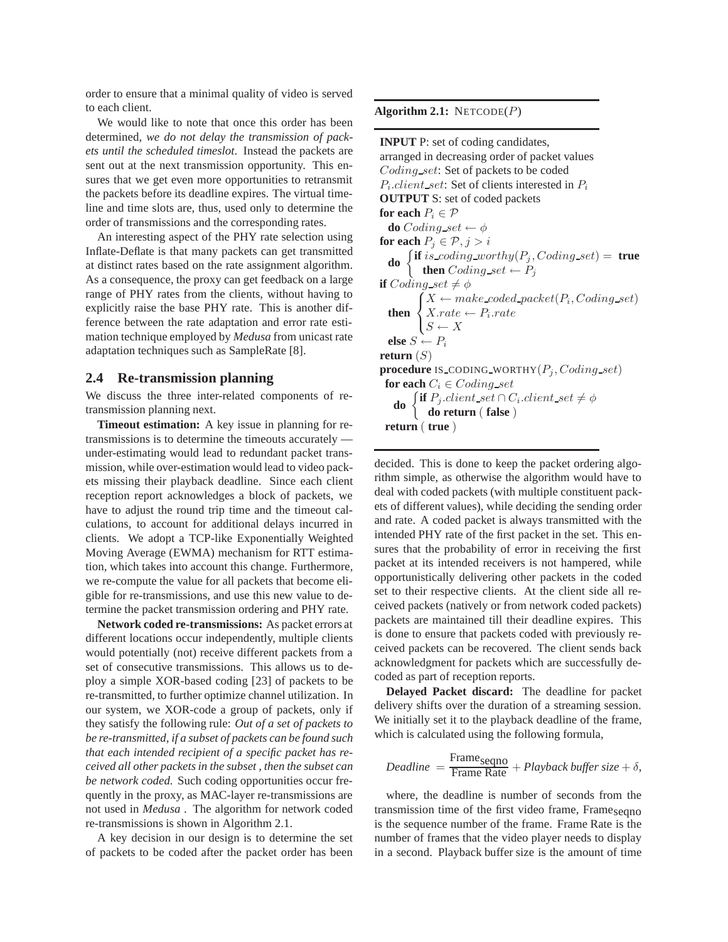order to ensure that a minimal quality of video is served to each client.

We would like to note that once this order has been determined, *we do not delay the transmission of packets until the scheduled timeslot*. Instead the packets are sent out at the next transmission opportunity. This ensures that we get even more opportunities to retransmit the packets before its deadline expires. The virtual timeline and time slots are, thus, used only to determine the order of transmissions and the corresponding rates.

An interesting aspect of the PHY rate selection using Inflate-Deflate is that many packets can get transmitted at distinct rates based on the rate assignment algorithm. As a consequence, the proxy can get feedback on a large range of PHY rates from the clients, without having to explicitly raise the base PHY rate. This is another difference between the rate adaptation and error rate estimation technique employed by *Medusa* from unicast rate adaptation techniques such as SampleRate [8].

## **2.4 Re-transmission planning**

We discuss the three inter-related components of retransmission planning next.

**Timeout estimation:** A key issue in planning for retransmissions is to determine the timeouts accurately under-estimating would lead to redundant packet transmission, while over-estimation would lead to video packets missing their playback deadline. Since each client reception report acknowledges a block of packets, we have to adjust the round trip time and the timeout calculations, to account for additional delays incurred in clients. We adopt a TCP-like Exponentially Weighted Moving Average (EWMA) mechanism for RTT estimation, which takes into account this change. Furthermore, we re-compute the value for all packets that become eligible for re-transmissions, and use this new value to determine the packet transmission ordering and PHY rate.

**Network coded re-transmissions:** As packet errors at different locations occur independently, multiple clients would potentially (not) receive different packets from a set of consecutive transmissions. This allows us to deploy a simple XOR-based coding [23] of packets to be re-transmitted, to further optimize channel utilization. In our system, we XOR-code a group of packets, only if they satisfy the following rule: *Out of a set of packets to be re-transmitted, if a subset of packets can be found such that each intended recipient of a specific packet has received all other packets in the subset , then the subset can be network coded.* Such coding opportunities occur frequently in the proxy, as MAC-layer re-transmissions are not used in *Medusa* . The algorithm for network coded re-transmissions is shown in Algorithm 2.1.

A key decision in our design is to determine the set of packets to be coded after the packet order has been

### **Algorithm 2.1:** NETCODE(P)

**INPUT** P: set of coding candidates, arranged in decreasing order of packet values Coding\_set: Set of packets to be coded  $P_i$ .*client\_set*: Set of clients interested in  $P_i$ **OUTPUT** S: set of coded packets **for each**  $P_i \in \mathcal{P}$ **do** Coding  $set \leftarrow \phi$ **for each**  $P_j \in \mathcal{P}, j > i$ **do**  $\left\{\begin{matrix} \text{if } is \text{.coding\_worthy}(P_j, Coding\_set) = \text{true} \\ \text{then } Col^{\text{line}}_i \text{.est} + P \end{matrix}\right\}$ **then**  $Coding\_set \leftarrow P_j$ **if** Coding set  $\neq \phi$ then  $\{$  $X \leftarrow make\_code\_packet(P_i, Coding\_set)$  $\mathcal{L}$  $X_rate \leftarrow P_i_rate$  $S \leftarrow X$ **else**  $S \leftarrow P_i$ **return**  $(S)$ **procedure** IS\_CODING\_WORTHY $(P_i, Coding\_set)$ **for each**  $C_i \in Coding\_set$ **do**  $\begin{cases} \text{if } P_j \text{. client\_set} \cap C_i \text{. client\_set} \neq \phi \\ \text{do } \text{notturn} \text{. false} \end{cases}$ **do return** ( **false** ) **return** ( **true** )

decided. This is done to keep the packet ordering algorithm simple, as otherwise the algorithm would have to deal with coded packets (with multiple constituent packets of different values), while deciding the sending order and rate. A coded packet is always transmitted with the intended PHY rate of the first packet in the set. This ensures that the probability of error in receiving the first packet at its intended receivers is not hampered, while opportunistically delivering other packets in the coded set to their respective clients. At the client side all received packets (natively or from network coded packets) packets are maintained till their deadline expires. This is done to ensure that packets coded with previously received packets can be recovered. The client sends back acknowledgment for packets which are successfully decoded as part of reception reports.

**Delayed Packet discard:** The deadline for packet delivery shifts over the duration of a streaming session. We initially set it to the playback deadline of the frame, which is calculated using the following formula,

$$
Deadline = \frac{Frame_{\text{seqno}}}{Frame \text{ Rate}} + Playback \text{ buffer size} + \delta,
$$

where, the deadline is number of seconds from the transmission time of the first video frame, Frameseqno is the sequence number of the frame. Frame Rate is the number of frames that the video player needs to display in a second. Playback buffer size is the amount of time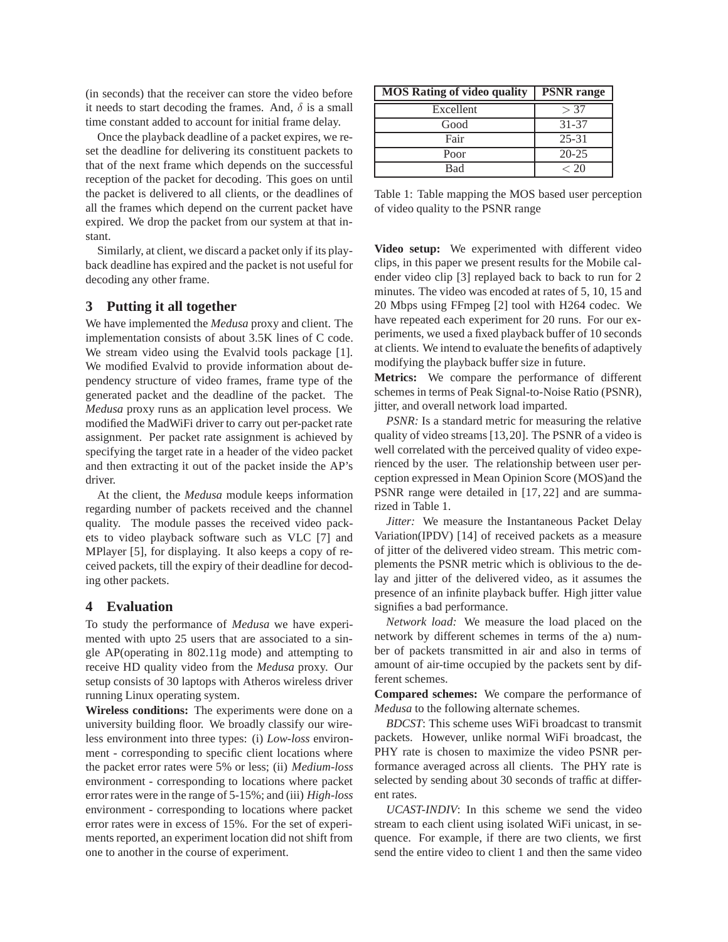(in seconds) that the receiver can store the video before it needs to start decoding the frames. And,  $\delta$  is a small time constant added to account for initial frame delay.

Once the playback deadline of a packet expires, we reset the deadline for delivering its constituent packets to that of the next frame which depends on the successful reception of the packet for decoding. This goes on until the packet is delivered to all clients, or the deadlines of all the frames which depend on the current packet have expired. We drop the packet from our system at that instant.

Similarly, at client, we discard a packet only if its playback deadline has expired and the packet is not useful for decoding any other frame.

# **3 Putting it all together**

We have implemented the *Medusa* proxy and client. The implementation consists of about 3.5K lines of C code. We stream video using the Evalvid tools package [1]. We modified Evalvid to provide information about dependency structure of video frames, frame type of the generated packet and the deadline of the packet. The *Medusa* proxy runs as an application level process. We modified the MadWiFi driver to carry out per-packet rate assignment. Per packet rate assignment is achieved by specifying the target rate in a header of the video packet and then extracting it out of the packet inside the AP's driver.

At the client, the *Medusa* module keeps information regarding number of packets received and the channel quality. The module passes the received video packets to video playback software such as VLC [7] and MPlayer [5], for displaying. It also keeps a copy of received packets, till the expiry of their deadline for decoding other packets.

# **4 Evaluation**

To study the performance of *Medusa* we have experimented with upto 25 users that are associated to a single AP(operating in 802.11g mode) and attempting to receive HD quality video from the *Medusa* proxy. Our setup consists of 30 laptops with Atheros wireless driver running Linux operating system.

**Wireless conditions:** The experiments were done on a university building floor. We broadly classify our wireless environment into three types: (i) *Low-loss* environment - corresponding to specific client locations where the packet error rates were 5% or less; (ii) *Medium-loss* environment - corresponding to locations where packet error rates were in the range of 5-15%; and (iii) *High-loss* environment - corresponding to locations where packet error rates were in excess of 15%. For the set of experiments reported, an experiment location did not shift from one to another in the course of experiment.

| <b>MOS Rating of video quality</b> | <b>PSNR</b> range |
|------------------------------------|-------------------|
| Excellent                          | > 37              |
| Good                               | 31-37             |
| Fair                               | $25 - 31$         |
| Poor                               | $20 - 25$         |
| Bad                                | < 20              |

Table 1: Table mapping the MOS based user perception of video quality to the PSNR range

**Video setup:** We experimented with different video clips, in this paper we present results for the Mobile calender video clip [3] replayed back to back to run for 2 minutes. The video was encoded at rates of 5, 10, 15 and 20 Mbps using FFmpeg [2] tool with H264 codec. We have repeated each experiment for 20 runs. For our experiments, we used a fixed playback buffer of 10 seconds at clients. We intend to evaluate the benefits of adaptively modifying the playback buffer size in future.

**Metrics:** We compare the performance of different schemes in terms of Peak Signal-to-Noise Ratio (PSNR), jitter, and overall network load imparted.

*PSNR:* Is a standard metric for measuring the relative quality of video streams [13,20]. The PSNR of a video is well correlated with the perceived quality of video experienced by the user. The relationship between user perception expressed in Mean Opinion Score (MOS)and the PSNR range were detailed in [17, 22] and are summarized in Table 1.

*Jitter:* We measure the Instantaneous Packet Delay Variation(IPDV) [14] of received packets as a measure of jitter of the delivered video stream. This metric complements the PSNR metric which is oblivious to the delay and jitter of the delivered video, as it assumes the presence of an infinite playback buffer. High jitter value signifies a bad performance.

*Network load:* We measure the load placed on the network by different schemes in terms of the a) number of packets transmitted in air and also in terms of amount of air-time occupied by the packets sent by different schemes.

**Compared schemes:** We compare the performance of *Medusa* to the following alternate schemes.

*BDCST*: This scheme uses WiFi broadcast to transmit packets. However, unlike normal WiFi broadcast, the PHY rate is chosen to maximize the video PSNR performance averaged across all clients. The PHY rate is selected by sending about 30 seconds of traffic at different rates.

*UCAST-INDIV*: In this scheme we send the video stream to each client using isolated WiFi unicast, in sequence. For example, if there are two clients, we first send the entire video to client 1 and then the same video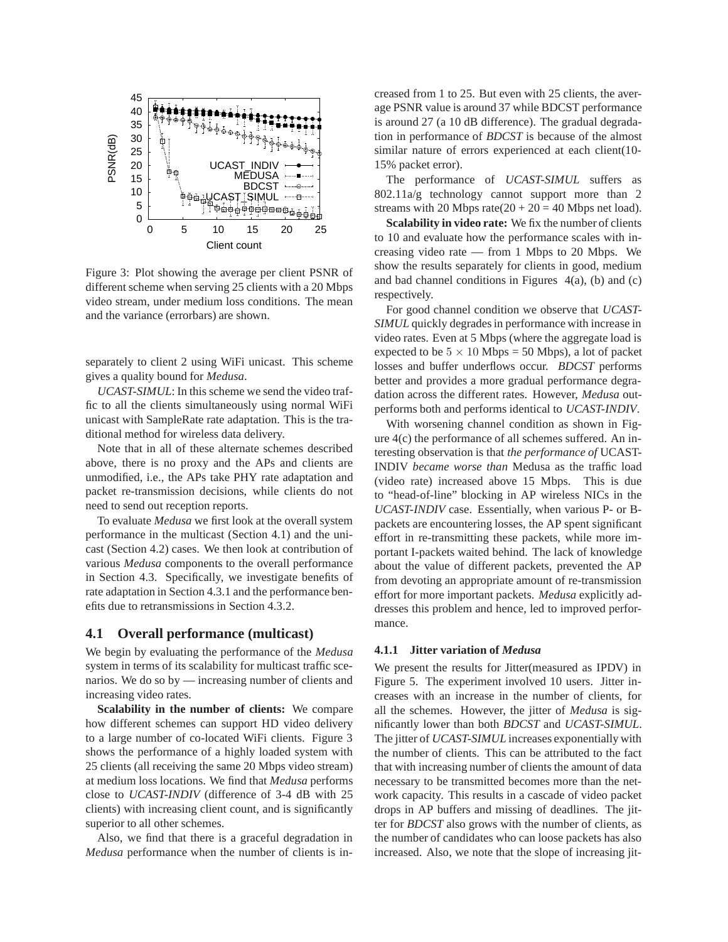

Figure 3: Plot showing the average per client PSNR of different scheme when serving 25 clients with a 20 Mbps video stream, under medium loss conditions. The mean and the variance (errorbars) are shown.

separately to client 2 using WiFi unicast. This scheme gives a quality bound for *Medusa*.

*UCAST-SIMUL*: In this scheme we send the video traffic to all the clients simultaneously using normal WiFi unicast with SampleRate rate adaptation. This is the traditional method for wireless data delivery.

Note that in all of these alternate schemes described above, there is no proxy and the APs and clients are unmodified, i.e., the APs take PHY rate adaptation and packet re-transmission decisions, while clients do not need to send out reception reports.

To evaluate *Medusa* we first look at the overall system performance in the multicast (Section 4.1) and the unicast (Section 4.2) cases. We then look at contribution of various *Medusa* components to the overall performance in Section 4.3. Specifically, we investigate benefits of rate adaptation in Section 4.3.1 and the performance benefits due to retransmissions in Section 4.3.2.

### **4.1 Overall performance (multicast)**

We begin by evaluating the performance of the *Medusa* system in terms of its scalability for multicast traffic scenarios. We do so by — increasing number of clients and increasing video rates.

**Scalability in the number of clients:** We compare how different schemes can support HD video delivery to a large number of co-located WiFi clients. Figure 3 shows the performance of a highly loaded system with 25 clients (all receiving the same 20 Mbps video stream) at medium loss locations. We find that *Medusa* performs close to *UCAST-INDIV* (difference of 3-4 dB with 25 clients) with increasing client count, and is significantly superior to all other schemes.

Also, we find that there is a graceful degradation in *Medusa* performance when the number of clients is increased from 1 to 25. But even with 25 clients, the average PSNR value is around 37 while BDCST performance is around 27 (a 10 dB difference). The gradual degradation in performance of *BDCST* is because of the almost similar nature of errors experienced at each client(10- 15% packet error).

The performance of *UCAST-SIMUL* suffers as 802.11a/g technology cannot support more than 2 streams with 20 Mbps rate $(20 + 20 = 40$  Mbps net load).

**Scalability in video rate:** We fix the number of clients to 10 and evaluate how the performance scales with increasing video rate — from 1 Mbps to 20 Mbps. We show the results separately for clients in good, medium and bad channel conditions in Figures  $4(a)$ , (b) and (c) respectively.

For good channel condition we observe that *UCAST-SIMUL* quickly degrades in performance with increase in video rates. Even at 5 Mbps (where the aggregate load is expected to be  $5 \times 10$  Mbps = 50 Mbps), a lot of packet losses and buffer underflows occur. *BDCST* performs better and provides a more gradual performance degradation across the different rates. However, *Medusa* outperforms both and performs identical to *UCAST-INDIV*.

With worsening channel condition as shown in Figure 4(c) the performance of all schemes suffered. An interesting observation is that *the performance of* UCAST-INDIV *became worse than* Medusa as the traffic load (video rate) increased above 15 Mbps. This is due to "head-of-line" blocking in AP wireless NICs in the *UCAST-INDIV* case. Essentially, when various P- or Bpackets are encountering losses, the AP spent significant effort in re-transmitting these packets, while more important I-packets waited behind. The lack of knowledge about the value of different packets, prevented the AP from devoting an appropriate amount of re-transmission effort for more important packets. *Medusa* explicitly addresses this problem and hence, led to improved performance.

#### **4.1.1 Jitter variation of** *Medusa*

We present the results for Jitter(measured as IPDV) in Figure 5. The experiment involved 10 users. Jitter increases with an increase in the number of clients, for all the schemes. However, the jitter of *Medusa* is significantly lower than both *BDCST* and *UCAST-SIMUL*. The jitter of *UCAST-SIMUL* increases exponentially with the number of clients. This can be attributed to the fact that with increasing number of clients the amount of data necessary to be transmitted becomes more than the network capacity. This results in a cascade of video packet drops in AP buffers and missing of deadlines. The jitter for *BDCST* also grows with the number of clients, as the number of candidates who can loose packets has also increased. Also, we note that the slope of increasing jit-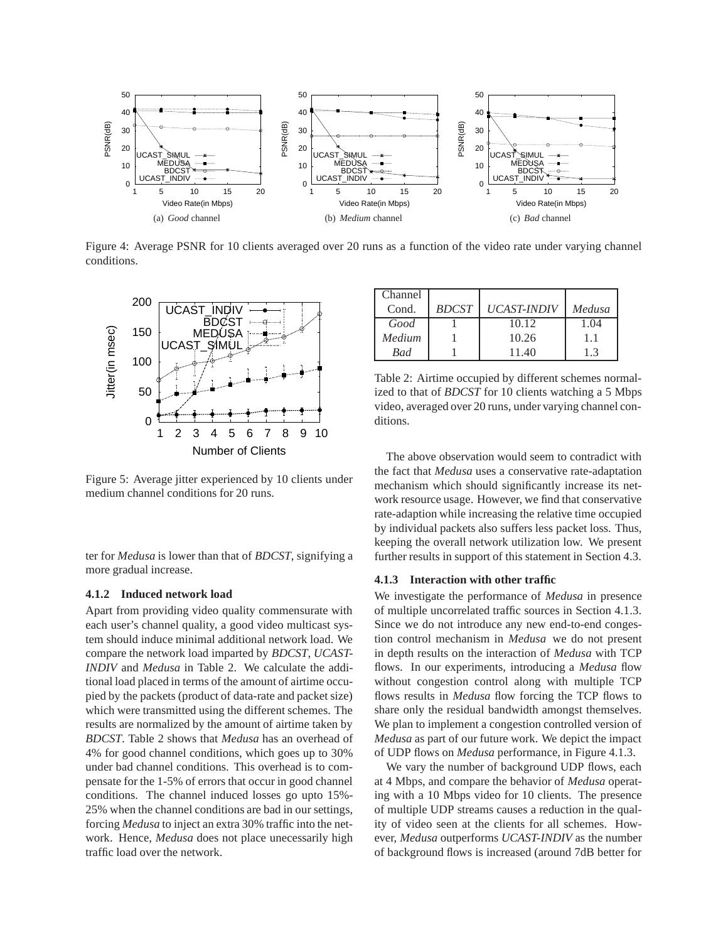

Figure 4: Average PSNR for 10 clients averaged over 20 runs as a function of the video rate under varying channel conditions.



Figure 5: Average jitter experienced by 10 clients under medium channel conditions for 20 runs.

ter for *Medusa* is lower than that of *BDCST*, signifying a more gradual increase.

#### **4.1.2 Induced network load**

Apart from providing video quality commensurate with each user's channel quality, a good video multicast system should induce minimal additional network load. We compare the network load imparted by *BDCST*, *UCAST-INDIV* and *Medusa* in Table 2. We calculate the additional load placed in terms of the amount of airtime occupied by the packets (product of data-rate and packet size) which were transmitted using the different schemes. The results are normalized by the amount of airtime taken by *BDCST*. Table 2 shows that *Medusa* has an overhead of 4% for good channel conditions, which goes up to 30% under bad channel conditions. This overhead is to compensate for the 1-5% of errors that occur in good channel conditions. The channel induced losses go upto 15%- 25% when the channel conditions are bad in our settings, forcing *Medusa* to inject an extra 30% traffic into the network. Hence, *Medusa* does not place unecessarily high traffic load over the network.

| Channel |              |                    |        |
|---------|--------------|--------------------|--------|
| Cond.   | <b>BDCST</b> | <b>UCAST-INDIV</b> | Medusa |
| Good    |              | 10.12              | 1.04   |
| Medium  |              | 10.26              | 1.1    |
| Bad     |              | 11.40              | 1.3    |

Table 2: Airtime occupied by different schemes normalized to that of *BDCST* for 10 clients watching a 5 Mbps video, averaged over 20 runs, under varying channel conditions.

The above observation would seem to contradict with the fact that *Medusa* uses a conservative rate-adaptation mechanism which should significantly increase its network resource usage. However, we find that conservative rate-adaption while increasing the relative time occupied by individual packets also suffers less packet loss. Thus, keeping the overall network utilization low. We present further results in support of this statement in Section 4.3.

### **4.1.3 Interaction with other traffic**

We investigate the performance of *Medusa* in presence of multiple uncorrelated traffic sources in Section 4.1.3. Since we do not introduce any new end-to-end congestion control mechanism in *Medusa* we do not present in depth results on the interaction of *Medusa* with TCP flows. In our experiments, introducing a *Medusa* flow without congestion control along with multiple TCP flows results in *Medusa* flow forcing the TCP flows to share only the residual bandwidth amongst themselves. We plan to implement a congestion controlled version of *Medusa* as part of our future work. We depict the impact of UDP flows on *Medusa* performance, in Figure 4.1.3.

We vary the number of background UDP flows, each at 4 Mbps, and compare the behavior of *Medusa* operating with a 10 Mbps video for 10 clients. The presence of multiple UDP streams causes a reduction in the quality of video seen at the clients for all schemes. However, *Medusa* outperforms *UCAST-INDIV* as the number of background flows is increased (around 7dB better for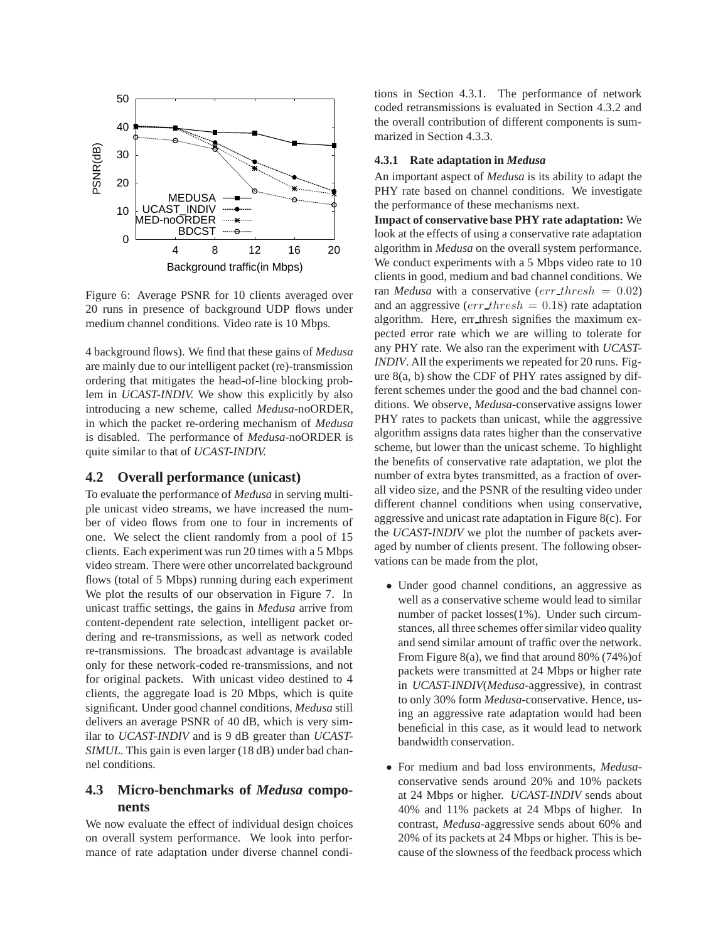

Figure 6: Average PSNR for 10 clients averaged over 20 runs in presence of background UDP flows under medium channel conditions. Video rate is 10 Mbps.

4 background flows). We find that these gains of *Medusa* are mainly due to our intelligent packet (re)-transmission ordering that mitigates the head-of-line blocking problem in *UCAST-INDIV.* We show this explicitly by also introducing a new scheme, called *Medusa*-noORDER, in which the packet re-ordering mechanism of *Medusa* is disabled. The performance of *Medusa*-noORDER is quite similar to that of *UCAST-INDIV.*

# **4.2 Overall performance (unicast)**

To evaluate the performance of *Medusa* in serving multiple unicast video streams, we have increased the number of video flows from one to four in increments of one. We select the client randomly from a pool of 15 clients. Each experiment was run 20 times with a 5 Mbps video stream. There were other uncorrelated background flows (total of 5 Mbps) running during each experiment We plot the results of our observation in Figure 7. In unicast traffic settings, the gains in *Medusa* arrive from content-dependent rate selection, intelligent packet ordering and re-transmissions, as well as network coded re-transmissions. The broadcast advantage is available only for these network-coded re-transmissions, and not for original packets. With unicast video destined to 4 clients, the aggregate load is 20 Mbps, which is quite significant. Under good channel conditions, *Medusa* still delivers an average PSNR of 40 dB, which is very similar to *UCAST-INDIV* and is 9 dB greater than *UCAST-SIMUL.* This gain is even larger (18 dB) under bad channel conditions.

# **4.3 Micro-benchmarks of** *Medusa* **components**

We now evaluate the effect of individual design choices on overall system performance. We look into performance of rate adaptation under diverse channel conditions in Section 4.3.1. The performance of network coded retransmissions is evaluated in Section 4.3.2 and the overall contribution of different components is summarized in Section 4.3.3.

### **4.3.1 Rate adaptation in** *Medusa*

An important aspect of *Medusa* is its ability to adapt the PHY rate based on channel conditions. We investigate the performance of these mechanisms next.

**Impact of conservative base PHY rate adaptation:** We look at the effects of using a conservative rate adaptation algorithm in *Medusa* on the overall system performance. We conduct experiments with a 5 Mbps video rate to 10 clients in good, medium and bad channel conditions. We ran *Medusa* with a conservative ( $err\_thresh = 0.02$ ) and an aggressive ( $err\_thresh = 0.18$ ) rate adaptation algorithm. Here, err thresh signifies the maximum expected error rate which we are willing to tolerate for any PHY rate. We also ran the experiment with *UCAST-INDIV*. All the experiments we repeated for 20 runs. Figure 8(a, b) show the CDF of PHY rates assigned by different schemes under the good and the bad channel conditions. We observe, *Medusa*-conservative assigns lower PHY rates to packets than unicast, while the aggressive algorithm assigns data rates higher than the conservative scheme, but lower than the unicast scheme. To highlight the benefits of conservative rate adaptation, we plot the number of extra bytes transmitted, as a fraction of overall video size, and the PSNR of the resulting video under different channel conditions when using conservative, aggressive and unicast rate adaptation in Figure 8(c). For the *UCAST-INDIV* we plot the number of packets averaged by number of clients present. The following observations can be made from the plot,

- Under good channel conditions, an aggressive as well as a conservative scheme would lead to similar number of packet losses(1%). Under such circumstances, all three schemes offer similar video quality and send similar amount of traffic over the network. From Figure 8(a), we find that around 80% (74%)of packets were transmitted at 24 Mbps or higher rate in *UCAST-INDIV*(*Medusa*-aggressive), in contrast to only 30% form *Medusa*-conservative. Hence, using an aggressive rate adaptation would had been beneficial in this case, as it would lead to network bandwidth conservation.
- For medium and bad loss environments, *Medusa*conservative sends around 20% and 10% packets at 24 Mbps or higher. *UCAST-INDIV* sends about 40% and 11% packets at 24 Mbps of higher. In contrast, *Medusa*-aggressive sends about 60% and 20% of its packets at 24 Mbps or higher. This is because of the slowness of the feedback process which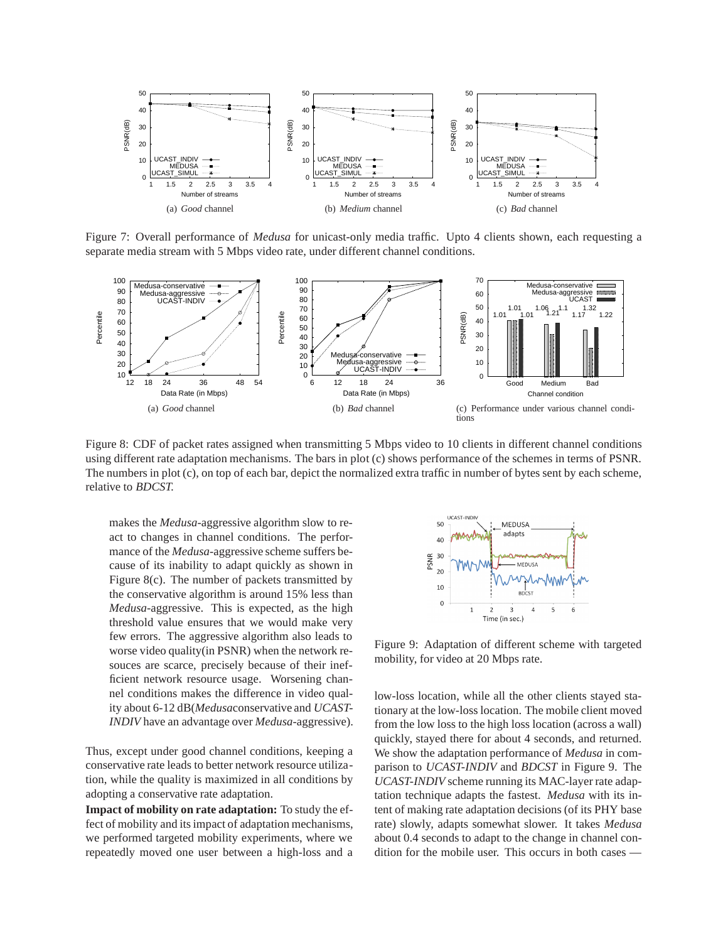

Figure 7: Overall performance of *Medusa* for unicast-only media traffic. Upto 4 clients shown, each requesting a separate media stream with 5 Mbps video rate, under different channel conditions.



Figure 8: CDF of packet rates assigned when transmitting 5 Mbps video to 10 clients in different channel conditions using different rate adaptation mechanisms. The bars in plot (c) shows performance of the schemes in terms of PSNR. The numbers in plot (c), on top of each bar, depict the normalized extra traffic in number of bytes sent by each scheme, relative to *BDCST.*

makes the *Medusa*-aggressive algorithm slow to react to changes in channel conditions. The performance of the *Medusa*-aggressive scheme suffers because of its inability to adapt quickly as shown in Figure 8(c). The number of packets transmitted by the conservative algorithm is around 15% less than *Medusa*-aggressive. This is expected, as the high threshold value ensures that we would make very few errors. The aggressive algorithm also leads to worse video quality(in PSNR) when the network resouces are scarce, precisely because of their inefficient network resource usage. Worsening channel conditions makes the difference in video quality about 6-12 dB(*Medusa*conservative and *UCAST-INDIV* have an advantage over *Medusa*-aggressive).

Thus, except under good channel conditions, keeping a conservative rate leads to better network resource utilization, while the quality is maximized in all conditions by adopting a conservative rate adaptation.

**Impact of mobility on rate adaptation:** To study the effect of mobility and its impact of adaptation mechanisms, we performed targeted mobility experiments, where we repeatedly moved one user between a high-loss and a



Figure 9: Adaptation of different scheme with targeted mobility, for video at 20 Mbps rate.

low-loss location, while all the other clients stayed stationary at the low-loss location. The mobile client moved from the low loss to the high loss location (across a wall) quickly, stayed there for about 4 seconds, and returned. We show the adaptation performance of *Medusa* in comparison to *UCAST-INDIV* and *BDCST* in Figure 9. The *UCAST-INDIV* scheme running its MAC-layer rate adaptation technique adapts the fastest. *Medusa* with its intent of making rate adaptation decisions (of its PHY base rate) slowly, adapts somewhat slower. It takes *Medusa* about 0.4 seconds to adapt to the change in channel condition for the mobile user. This occurs in both cases —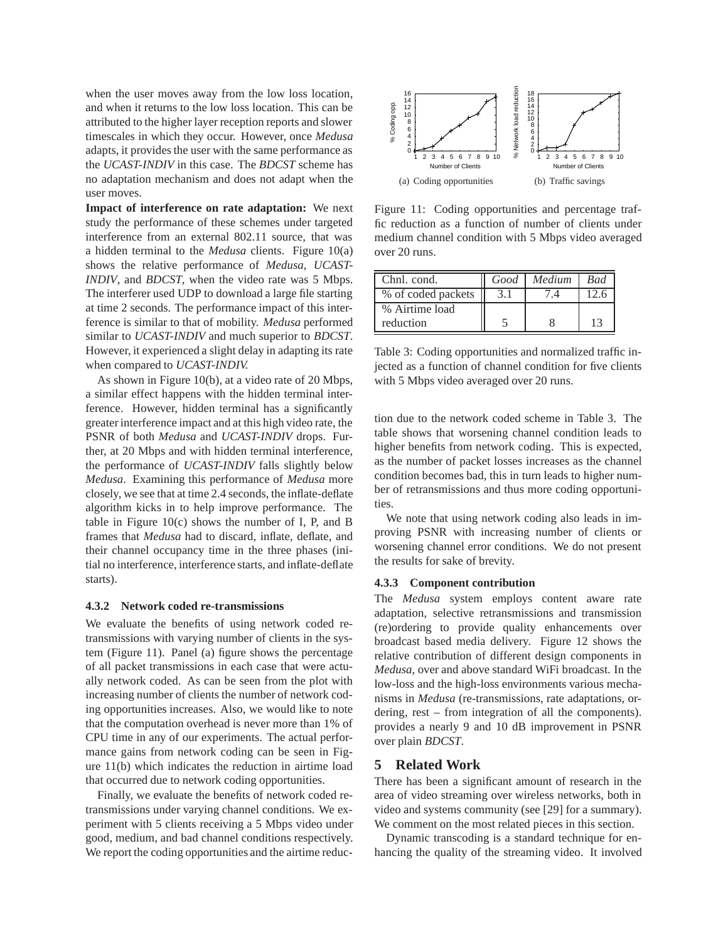when the user moves away from the low loss location, and when it returns to the low loss location. This can be attributed to the higher layer reception reports and slower timescales in which they occur. However, once *Medusa* adapts, it provides the user with the same performance as the *UCAST-INDIV* in this case. The *BDCST* scheme has no adaptation mechanism and does not adapt when the user moves.

**Impact of interference on rate adaptation:** We next study the performance of these schemes under targeted interference from an external 802.11 source, that was a hidden terminal to the *Medusa* clients. Figure 10(a) shows the relative performance of *Medusa*, *UCAST-INDIV*, and *BDCST*, when the video rate was 5 Mbps. The interferer used UDP to download a large file starting at time 2 seconds. The performance impact of this interference is similar to that of mobility. *Medusa* performed similar to *UCAST-INDIV* and much superior to *BDCST*. However, it experienced a slight delay in adapting its rate when compared to *UCAST-INDIV.*

As shown in Figure 10(b), at a video rate of 20 Mbps, a similar effect happens with the hidden terminal interference. However, hidden terminal has a significantly greater interference impact and at this high video rate, the PSNR of both *Medusa* and *UCAST-INDIV* drops. Further, at 20 Mbps and with hidden terminal interference, the performance of *UCAST-INDIV* falls slightly below *Medusa*. Examining this performance of *Medusa* more closely, we see that at time 2.4 seconds, the inflate-deflate algorithm kicks in to help improve performance. The table in Figure 10(c) shows the number of I, P, and B frames that *Medusa* had to discard, inflate, deflate, and their channel occupancy time in the three phases (initial no interference, interference starts, and inflate-deflate starts).

### **4.3.2 Network coded re-transmissions**

We evaluate the benefits of using network coded retransmissions with varying number of clients in the system (Figure 11). Panel (a) figure shows the percentage of all packet transmissions in each case that were actually network coded. As can be seen from the plot with increasing number of clients the number of network coding opportunities increases. Also, we would like to note that the computation overhead is never more than 1% of CPU time in any of our experiments. The actual performance gains from network coding can be seen in Figure 11(b) which indicates the reduction in airtime load that occurred due to network coding opportunities.

Finally, we evaluate the benefits of network coded retransmissions under varying channel conditions. We experiment with 5 clients receiving a 5 Mbps video under good, medium, and bad channel conditions respectively. We report the coding opportunities and the airtime reduc-



Figure 11: Coding opportunities and percentage traffic reduction as a function of number of clients under medium channel condition with 5 Mbps video averaged over 20 runs.

| Chnl. cond.        | Good | Medium | <b>Bad</b> |
|--------------------|------|--------|------------|
| % of coded packets |      |        |            |
| % Airtime load     |      |        |            |
| reduction          |      |        | 13         |

Table 3: Coding opportunities and normalized traffic injected as a function of channel condition for five clients with 5 Mbps video averaged over 20 runs.

tion due to the network coded scheme in Table 3. The table shows that worsening channel condition leads to higher benefits from network coding. This is expected, as the number of packet losses increases as the channel condition becomes bad, this in turn leads to higher number of retransmissions and thus more coding opportunities.

We note that using network coding also leads in improving PSNR with increasing number of clients or worsening channel error conditions. We do not present the results for sake of brevity.

#### **4.3.3 Component contribution**

The *Medusa* system employs content aware rate adaptation, selective retransmissions and transmission (re)ordering to provide quality enhancements over broadcast based media delivery. Figure 12 shows the relative contribution of different design components in *Medusa*, over and above standard WiFi broadcast. In the low-loss and the high-loss environments various mechanisms in *Medusa* (re-transmissions, rate adaptations, ordering, rest – from integration of all the components). provides a nearly 9 and 10 dB improvement in PSNR over plain *BDCST*.

### **5 Related Work**

There has been a significant amount of research in the area of video streaming over wireless networks, both in video and systems community (see [29] for a summary). We comment on the most related pieces in this section.

Dynamic transcoding is a standard technique for enhancing the quality of the streaming video. It involved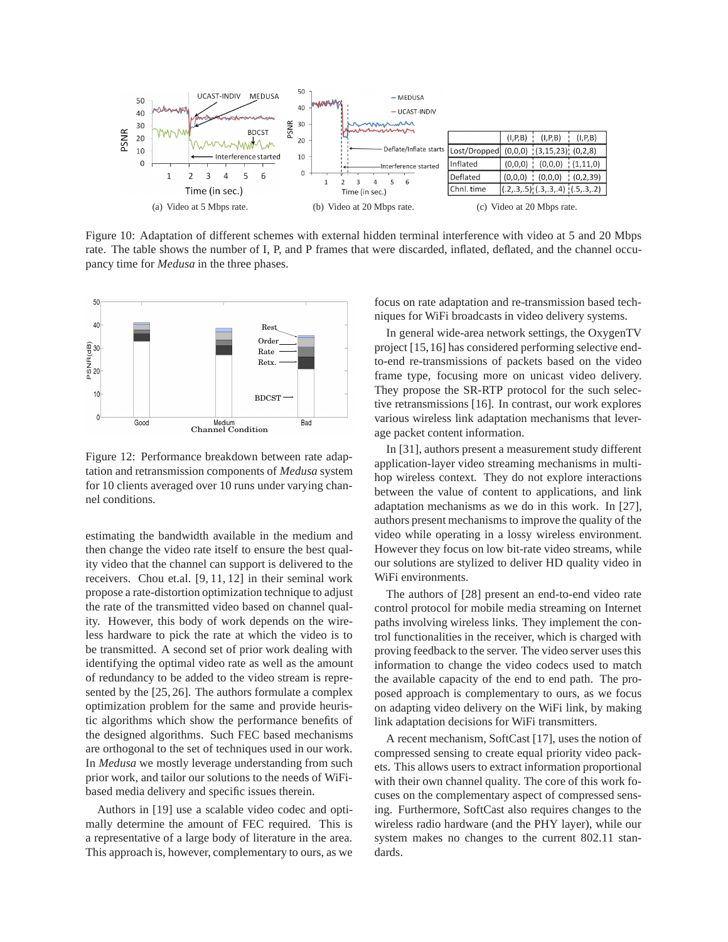

Figure 10: Adaptation of different schemes with external hidden terminal interference with video at 5 and 20 Mbps rate. The table shows the number of I, P, and P frames that were discarded, inflated, deflated, and the channel occupancy time for *Medusa* in the three phases.



Figure 12: Performance breakdown between rate adaptation and retransmission components of *Medusa* system for 10 clients averaged over 10 runs under varying channel conditions.

estimating the bandwidth available in the medium and then change the video rate itself to ensure the best quality video that the channel can support is delivered to the receivers. Chou et.al. [9, 11, 12] in their seminal work propose a rate-distortion optimization technique to adjust the rate of the transmitted video based on channel quality. However, this body of work depends on the wireless hardware to pick the rate at which the video is to be transmitted. A second set of prior work dealing with identifying the optimal video rate as well as the amount of redundancy to be added to the video stream is represented by the [25, 26]. The authors formulate a complex optimization problem for the same and provide heuristic algorithms which show the performance benefits of the designed algorithms. Such FEC based mechanisms are orthogonal to the set of techniques used in our work. In *Medusa* we mostly leverage understanding from such prior work, and tailor our solutions to the needs of WiFibased media delivery and specific issues therein.

Authors in [19] use a scalable video codec and optimally determine the amount of FEC required. This is a representative of a large body of literature in the area. This approach is, however, complementary to ours, as we focus on rate adaptation and re-transmission based techniques for WiFi broadcasts in video delivery systems.

In general wide-area network settings, the OxygenTV project [15,16] has considered performing selective endto-end re-transmissions of packets based on the video frame type, focusing more on unicast video delivery. They propose the SR-RTP protocol for the such selective retransmissions [16]. In contrast, our work explores various wireless link adaptation mechanisms that leverage packet content information.

In [31], authors present a measurement study different application-layer video streaming mechanisms in multihop wireless context. They do not explore interactions between the value of content to applications, and link adaptation mechanisms as we do in this work. In [27], authors present mechanisms to improve the quality of the video while operating in a lossy wireless environment. However they focus on low bit-rate video streams, while our solutions are stylized to deliver HD quality video in WiFi environments.

The authors of [28] present an end-to-end video rate control protocol for mobile media streaming on Internet paths involving wireless links. They implement the control functionalities in the receiver, which is charged with proving feedback to the server. The video server uses this information to change the video codecs used to match the available capacity of the end to end path. The proposed approach is complementary to ours, as we focus on adapting video delivery on the WiFi link, by making link adaptation decisions for WiFi transmitters.

A recent mechanism, SoftCast [17], uses the notion of compressed sensing to create equal priority video packets. This allows users to extract information proportional with their own channel quality. The core of this work focuses on the complementary aspect of compressed sensing. Furthermore, SoftCast also requires changes to the wireless radio hardware (and the PHY layer), while our system makes no changes to the current 802.11 standards.